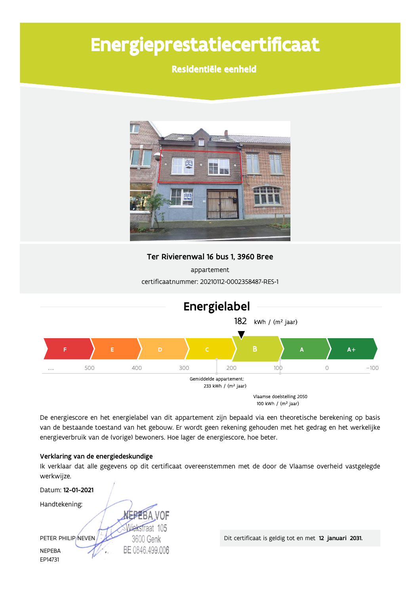# Energieprestatiecertificaat

### Residentiële eenheid



#### Ter Rivierenwal 16 bus 1, 3960 Bree

appartement certificaatnummer: 20210112-0002358487-RES-1



De energiescore en het energielabel van dit appartement zijn bepaald via een theoretische berekening op basis van de bestaande toestand van het gebouw. Er wordt geen rekening gehouden met het gedrag en het werkelijke energieverbruik van de (vorige) bewoners. Hoe lager de energiescore, hoe beter.

#### Verklaring van de energiedeskundige

Ik verklaar dat alle gegevens op dit certificaat overeenstemmen met de door de Vlaamse overheid vastgelegde werkwijze.

| Datum: 12-01-2021  |                 |
|--------------------|-----------------|
| Handtekening:      |                 |
|                    | <b>FBA VOF</b>  |
|                    | Wiekstraat 105  |
| PETER PHILIP/NEVEN | 3600 Genk       |
| <b>NEPEBA</b>      | BE 0846.499.006 |
| EP14731            |                 |

Dit certificaat is geldig tot en met 12 januari 2031.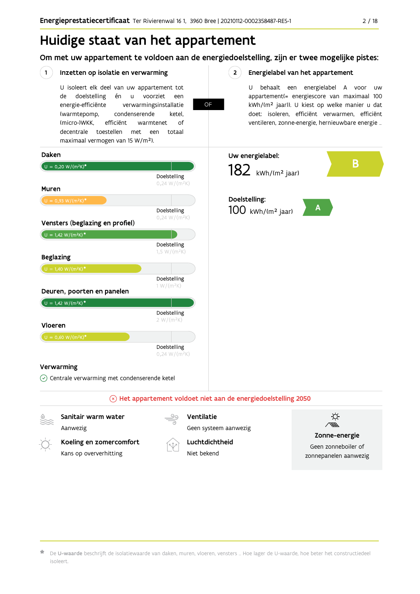Om met uw appartement te voldoen aan de energiedoelstelling, zijn er twee mogelijke pistes:

**OF** 

 $2^{\circ}$ 

#### $(1)$ Inzetten op isolatie en verwarming

U isoleert elk deel van uw appartement tot doelstelling voorziet de én  $\mathsf{u}$ een energie-efficiënte verwarmingsinstallatie (warmtepomp, condenserende ketel. (micro-)WKK. efficiënt warmtenet  $\bigcap_{ }$ decentrale toestellen met een totaal maximaal vermogen van 15 W/m<sup>2</sup>).

#### Energielabel van het appartement

U behaalt een energielabel A voor  $\overline{U}$ appartement(= energiescore van maximaal 100 kWh/(m<sup>2</sup> jaar)). U kiest op welke manier u dat doet: isoleren, efficiënt verwarmen, efficiënt ventileren, zonne-energie, hernieuwbare energie ...



Kans op oververhitting

Niet bekend

Geen zonneboiler of zonnepanelen aanwezig

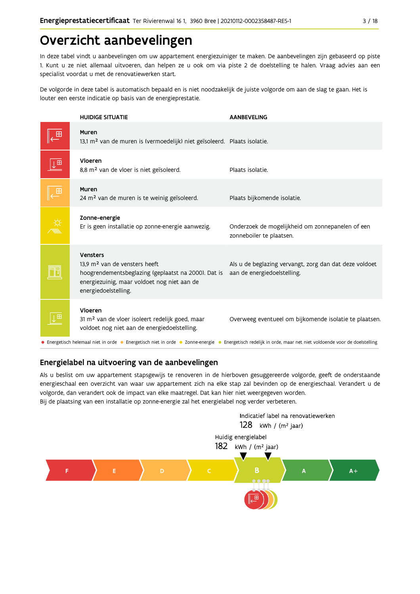## Overzicht aanbevelingen

In deze tabel vindt u aanbevelingen om uw appartement energiezuiniger te maken. De aanbevelingen zijn gebaseerd op piste 1. Kunt u ze niet allemaal uitvoeren, dan helpen ze u ook om via piste 2 de doelstelling te halen. Vraag advies aan een specialist voordat u met de renovatiewerken start.

De volgorde in deze tabel is automatisch bepaald en is niet noodzakelijk de juiste volgorde om aan de slag te gaan. Het is louter een eerste indicatie op basis van de energieprestatie.

|                         | <b>HUIDIGE SITUATIE</b>                                                                                                                                                             | <b>AANBEVELING</b>                                                                                                                                          |
|-------------------------|-------------------------------------------------------------------------------------------------------------------------------------------------------------------------------------|-------------------------------------------------------------------------------------------------------------------------------------------------------------|
|                         | Muren<br>13,1 m <sup>2</sup> van de muren is (vermoedelijk) niet geïsoleerd. Plaats isolatie.                                                                                       |                                                                                                                                                             |
| $\downarrow^{\boxplus}$ | Vloeren<br>8,8 m <sup>2</sup> van de vloer is niet geïsoleerd.                                                                                                                      | Plaats isolatie.                                                                                                                                            |
|                         | Muren<br>24 m <sup>2</sup> van de muren is te weinig geïsoleerd.                                                                                                                    | Plaats bijkomende isolatie.                                                                                                                                 |
|                         | Zonne-energie<br>Er is geen installatie op zonne-energie aanwezig.                                                                                                                  | Onderzoek de mogelijkheid om zonnepanelen of een<br>zonneboiler te plaatsen.                                                                                |
|                         | Vensters<br>13.9 m <sup>2</sup> van de vensters heeft<br>hoogrendementsbeglazing (geplaatst na 2000). Dat is<br>energiezuinig, maar voldoet nog niet aan de<br>energiedoelstelling. | Als u de beglazing vervangt, zorg dan dat deze voldoet<br>aan de energiedoelstelling.                                                                       |
|                         | Vloeren<br>31 m <sup>2</sup> van de vloer isoleert redelijk goed, maar<br>voldoet nog niet aan de energiedoelstelling.                                                              | Overweeg eventueel om bijkomende isolatie te plaatsen.                                                                                                      |
|                         |                                                                                                                                                                                     | • Energetisch helemaal niet in orde • Energetisch niet in orde • Zonne-energie • Energetisch redelijk in orde, maar net niet voldoende voor de doelstelling |

### Energielabel na uitvoering van de aanbevelingen

Als u beslist om uw appartement stapsgewijs te renoveren in de hierboven gesuggereerde volgorde, geeft de onderstaande energieschaal een overzicht van waar uw appartement zich na elke stap zal bevinden op de energieschaal. Verandert u de volgorde, dan verandert ook de impact van elke maatregel. Dat kan hier niet weergegeven worden. Bij de plaatsing van een installatie op zonne-energie zal het energielabel nog verder verbeteren.

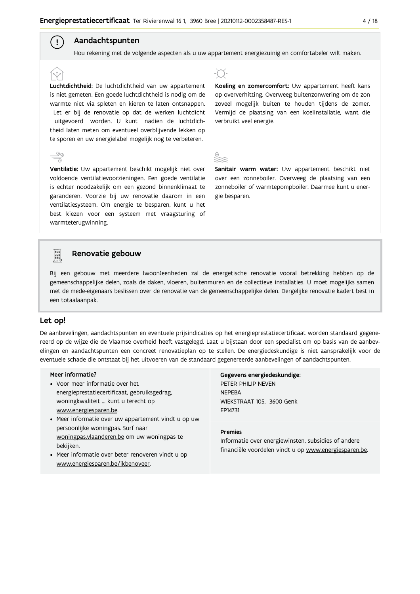### Aandachtspunten

 $\left( \begin{array}{c} 1 \end{array} \right)$ 

Hou rekening met de volgende aspecten als u uw appartement energiezuinig en comfortabeler wilt maken.

Luchtdichtheid: De luchtdichtheid van uw appartement is niet gemeten. Een goede luchtdichtheid is nodig om de warmte niet via spleten en kieren te laten ontsnappen. Let er bij de renovatie op dat de werken luchtdicht uitgevoerd worden. U kunt nadien de luchtdichtheid laten meten om eventueel overblijvende lekken op te sporen en uw energielabel mogelijk nog te verbeteren.

Ventilatie: Uw appartement beschikt mogelijk niet over voldoende ventilatievoorzieningen. Een goede ventilatie is echter noodzakelijk om een gezond binnenklimaat te garanderen. Voorzie bij uw renovatie daarom in een ventilatiesysteem. Om energie te besparen, kunt u het best kiezen voor een systeem met vraagsturing of warmteterugwinning.



Koeling en zomercomfort: Uw appartement heeft kans op oververhitting. Overweeg buitenzonwering om de zon zoveel mogelijk buiten te houden tijdens de zomer. Vermijd de plaatsing van een koelinstallatie, want die verbruikt veel energie.

Sanitair warm water: Uw appartement beschikt niet over een zonneboiler. Overweeg de plaatsing van een zonneboiler of warmtepompboiler. Daarmee kunt u energie besparen.



#### Renovatie gebouw

Bij een gebouw met meerdere (woon)eenheden zal de energetische renovatie vooral betrekking hebben op de gemeenschappelijke delen, zoals de daken, vloeren, buitenmuren en de collectieve installaties. U moet mogelijks samen met de mede-eigenaars beslissen over de renovatie van de gemeenschappelijke delen. Dergelijke renovatie kadert best in een totaalaanpak.

#### Let op!

De aanbevelingen, aandachtspunten en eventuele prijsindicaties op het energieprestatiecertificaat worden standaard gegenereerd op de wijze die de Vlaamse overheid heeft vastgelegd. Laat u bijstaan door een specialist om op basis van de aanbevelingen en aandachtspunten een concreet renovatieplan op te stellen. De energiedeskundige is niet aansprakelijk voor de eventuele schade die ontstaat bij het uitvoeren van de standaard gegenereerde aanbevelingen of aandachtspunten.

#### Meer informatie?

- Voor meer informatie over het energieprestatiecertificaat, gebruiksgedrag, woningkwaliteit ... kunt u terecht op www.energiesparen.be.
- Meer informatie over uw appartement vindt u op uw persoonlijke woningpas. Surf naar woningpas.vlaanderen.be om uw woningpas te bekijken.
- Meer informatie over beter renoveren vindt u op www.energiesparen.be/ikbenoveer.

Gegevens energiedeskundige: PETER PHILIP NEVEN **NFPFBA** WIEKSTRAAT 105, 3600 Genk FP14731

#### **Premies**

Informatie over energiewinsten, subsidies of andere financiële voordelen vindt u op www.energiesparen.be.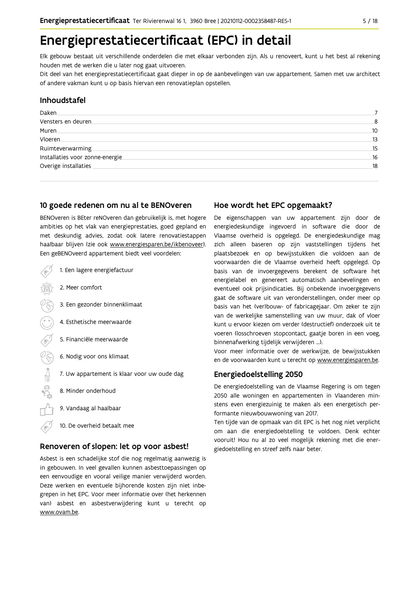## Energieprestatiecertificaat (EPC) in detail

Elk gebouw bestaat uit verschillende onderdelen die met elkaar verbonden zijn. Als u renoveert, kunt u het best al rekening houden met de werken die u later nog gaat uitvoeren.

Dit deel van het energieprestatiecertificaat gaat dieper in op de aanbevelingen van uw appartement. Samen met uw architect of andere vakman kunt u op basis hiervan een renovatieplan opstellen.

#### Inhoudstafel

| Daken                            |     |
|----------------------------------|-----|
| Vensters en deuren               | 8   |
| Muren.                           | 10  |
| Vloeren                          | 13  |
| Ruimteverwarming                 | 15  |
| Installaties voor zonne-energie. | -16 |
| Overige installaties             | 18  |
|                                  |     |

#### 10 goede redenen om nu al te BENOveren

BENOveren is BEter reNOveren dan gebruikelijk is, met hogere ambities op het vlak van energieprestaties, goed gepland en met deskundig advies, zodat ook latere renovatiestappen haalbaar blijven (zie ook www.energiesparen.be/ikbenoveer). Een geBENOveerd appartement biedt veel voordelen:



#### Renoveren of slopen: let op voor asbest!

Asbest is een schadelijke stof die nog regelmatig aanwezig is in gebouwen. In veel gevallen kunnen asbesttoepassingen op een eenvoudige en vooral veilige manier verwijderd worden. Deze werken en eventuele bijhorende kosten zijn niet inbegrepen in het EPC. Voor meer informatie over (het herkennen van) asbest en asbestverwijdering kunt u terecht op www.ovam.be.

#### Hoe wordt het EPC opgemaakt?

De eigenschappen van uw appartement zijn door de energiedeskundige ingevoerd in software die door de Vlaamse overheid is opgelegd. De energiedeskundige mag zich alleen baseren op zijn vaststellingen tijdens het plaatsbezoek en op bewijsstukken die voldoen aan de voorwaarden die de Vlaamse overheid heeft opgelegd. Op basis van de invoergegevens berekent de software het energielabel en genereert automatisch aanbevelingen en eventueel ook prijsindicaties. Bij onbekende invoergegevens gaat de software uit van veronderstellingen, onder meer op basis van het (ver)bouw- of fabricagejaar. Om zeker te zijn van de werkelijke samenstelling van uw muur, dak of vloer kunt u ervoor kiezen om verder (destructief) onderzoek uit te voeren (losschroeven stopcontact, gaatje boren in een voeg, binnenafwerking tijdelijk verwijderen ...).

Voor meer informatie over de werkwijze, de bewijsstukken en de voorwaarden kunt u terecht op www.energiesparen.be.

#### Energiedoelstelling 2050

De energiedoelstelling van de Vlaamse Regering is om tegen 2050 alle woningen en appartementen in Vlaanderen minstens even energiezuinig te maken als een energetisch performante nieuwbouwwoning van 2017.

Ten tijde van de opmaak van dit EPC is het nog niet verplicht om aan die energiedoelstelling te voldoen. Denk echter vooruit! Hou nu al zo veel mogelijk rekening met die energiedoelstelling en streef zelfs naar beter.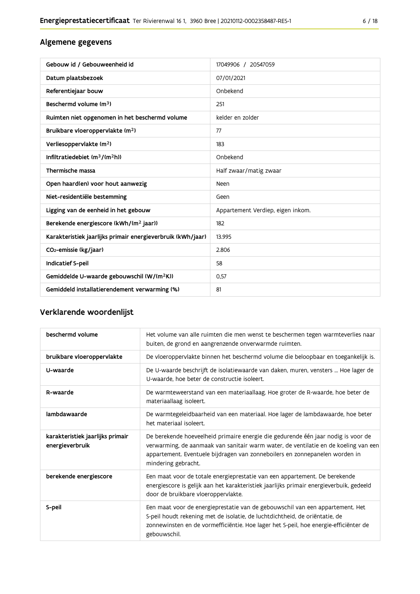### Algemene gegevens

| Gebouw id / Gebouweenheid id                                | 17049906 / 20547059               |
|-------------------------------------------------------------|-----------------------------------|
| Datum plaatsbezoek                                          | 07/01/2021                        |
| Referentiejaar bouw                                         | Onbekend                          |
| Beschermd volume (m <sup>3</sup> )                          | 251                               |
| Ruimten niet opgenomen in het beschermd volume              | kelder en zolder                  |
| Bruikbare vloeroppervlakte (m <sup>2</sup> )                | 77                                |
| Verliesoppervlakte (m <sup>2</sup> )                        | 183                               |
| Infiltratiedebiet $(m^3/(m^2h))$                            | Onbekend                          |
| Thermische massa                                            | Half zwaar/matig zwaar            |
| Open haard(en) voor hout aanwezig                           | Neen                              |
| Niet-residentiële bestemming                                | Geen                              |
| Ligging van de eenheid in het gebouw                        | Appartement Verdiep, eigen inkom. |
| Berekende energiescore (kWh/(m <sup>2</sup> jaar))          | 182                               |
| Karakteristiek jaarlijks primair energieverbruik (kWh/jaar) | 13.995                            |
| CO <sub>2</sub> -emissie (kg/jaar)                          | 2.806                             |
| Indicatief S-peil                                           | 58                                |
| Gemiddelde U-waarde gebouwschil (W/(m <sup>2</sup> K))      | 0.57                              |
| Gemiddeld installatierendement verwarming (%)               | 81                                |

### Verklarende woordenlijst

| beschermd volume                                    | Het volume van alle ruimten die men wenst te beschermen tegen warmteverlies naar<br>buiten, de grond en aangrenzende onverwarmde ruimten.                                                                                                                                      |
|-----------------------------------------------------|--------------------------------------------------------------------------------------------------------------------------------------------------------------------------------------------------------------------------------------------------------------------------------|
| bruikbare vloeroppervlakte                          | De vloeroppervlakte binnen het beschermd volume die beloopbaar en toegankelijk is.                                                                                                                                                                                             |
| U-waarde                                            | De U-waarde beschrijft de isolatiewaarde van daken, muren, vensters  Hoe lager de<br>U-waarde, hoe beter de constructie isoleert.                                                                                                                                              |
| R-waarde                                            | De warmteweerstand van een materiaallaag. Hoe groter de R-waarde, hoe beter de<br>materiaallaag isoleert.                                                                                                                                                                      |
| lambdawaarde                                        | De warmtegeleidbaarheid van een materiaal. Hoe lager de lambdawaarde, hoe beter<br>het materiaal isoleert.                                                                                                                                                                     |
| karakteristiek jaarlijks primair<br>energieverbruik | De berekende hoeveelheid primaire energie die gedurende één jaar nodig is voor de<br>verwarming, de aanmaak van sanitair warm water, de ventilatie en de koeling van een<br>appartement. Eventuele bijdragen van zonneboilers en zonnepanelen worden in<br>mindering gebracht. |
| berekende energiescore                              | Een maat voor de totale energieprestatie van een appartement. De berekende<br>energiescore is gelijk aan het karakteristiek jaarlijks primair energieverbuik, gedeeld<br>door de bruikbare vloeroppervlakte.                                                                   |
| S-peil                                              | Een maat voor de energieprestatie van de gebouwschil van een appartement. Het<br>S-peil houdt rekening met de isolatie, de luchtdichtheid, de oriëntatie, de<br>zonnewinsten en de vormefficiëntie. Hoe lager het S-peil, hoe energie-efficiënter de<br>gebouwschil.           |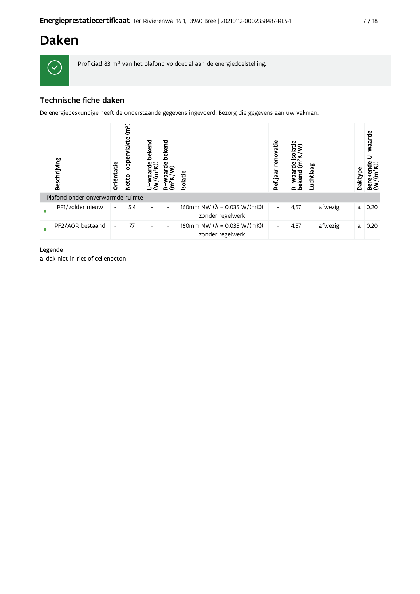## **Daken**



Proficiat! 83 m<sup>2</sup> van het plafond voldoet al aan de energiedoelstelling.

### Technische fiche daken

De energiedeskundige heeft de onderstaande gegevens ingevoerd. Bezorg die gegevens aan uw vakman.

|           | Beschrijving                     | Oriëntatie               | (m <sup>2</sup> )<br>Φ<br><u>lakt</u><br>pp<br>O<br>Netto | bekend<br>$\frac{W}{(m^2K)}$ | bekend<br>ីទ<br>ε        | Isolatie                                                        | renovatie<br>Ref jaar    | isolati<br>Ξ<br>ಕಿ<br>waar<br>R-waar<br>bekend | Luchtlaag | Daktype | waarde<br>Bereken<br>(W/(m <sup>2</sup> ł |
|-----------|----------------------------------|--------------------------|-----------------------------------------------------------|------------------------------|--------------------------|-----------------------------------------------------------------|--------------------------|------------------------------------------------|-----------|---------|-------------------------------------------|
|           | Plafond onder onverwarmde ruimte |                          |                                                           |                              |                          |                                                                 |                          |                                                |           |         |                                           |
| $\bullet$ | PF1/zolder nieuw                 | $\overline{\phantom{a}}$ | 5,4                                                       | -                            | $\overline{\phantom{a}}$ | 160mm MW ( $\lambda$ = 0.035 W/(mK))<br>zonder regelwerk        | $\overline{\phantom{a}}$ | 4,57                                           | afwezig   | a       | 0,20                                      |
|           | PF2/AOR bestaand                 | $\overline{\phantom{a}}$ | 77                                                        | ۰                            | $\overline{\phantom{a}}$ | 160mm MW $(\lambda = 0.035 \text{ W/(mK)})$<br>zonder regelwerk | $\overline{\phantom{a}}$ | 4,57                                           | afwezig   | a       | 0,20                                      |

#### Legende

a dak niet in riet of cellenbeton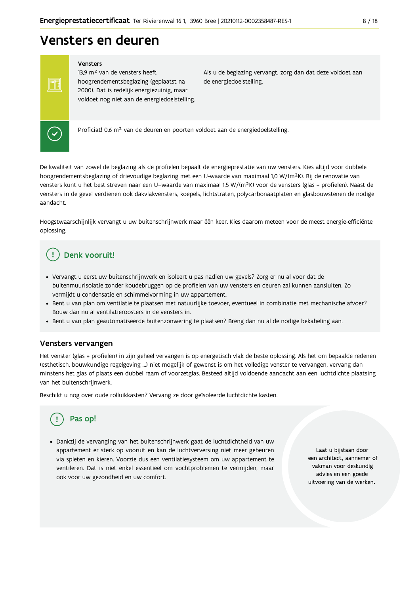## Vensters en deuren

#### Vensters

13,9 m<sup>2</sup> van de vensters heeft hoogrendementsbeglazing (geplaatst na 2000). Dat is redelijk energiezuinig, maar voldoet nog niet aan de energiedoelstelling. Als u de beglazing vervangt, zorg dan dat deze voldoet aan de energiedoelstelling.



FF

Proficiat! 0,6 m<sup>2</sup> van de deuren en poorten voldoet aan de energiedoelstelling.

De kwaliteit van zowel de beglazing als de profielen bepaalt de energieprestatie van uw vensters. Kies altijd voor dubbele hoogrendementsbeglazing of drievoudige beglazing met een U-waarde van maximaal 1,0 W/(m<sup>2</sup>K). Bij de renovatie van vensters kunt u het best streven naar een U-waarde van maximaal 1,5 W/(m<sup>2</sup>K) voor de vensters (glas + profielen). Naast de vensters in de gevel verdienen ook dakvlakvensters, koepels, lichtstraten, polycarbonaatplaten en glasbouwstenen de nodige aandacht

Hoogstwaarschijnlijk vervangt u uw buitenschrijnwerk maar één keer. Kies daarom meteen voor de meest energie-efficiënte oplossing.

### Denk vooruit!

- · Vervangt u eerst uw buitenschrijnwerk en isoleert u pas nadien uw gevels? Zorg er nu al voor dat de buitenmuurisolatie zonder koudebruggen op de profielen van uw vensters en deuren zal kunnen aansluiten. Zo vermijdt u condensatie en schimmelvorming in uw appartement.
- . Bent u van plan om ventilatie te plaatsen met natuurlijke toevoer, eventueel in combinatie met mechanische afvoer? Bouw dan nu al ventilatieroosters in de vensters in.
- · Bent u van plan geautomatiseerde buitenzonwering te plaatsen? Breng dan nu al de nodige bekabeling aan.

#### Vensters vervangen

Het venster (glas + profielen) in zijn geheel vervangen is op energetisch vlak de beste oplossing. Als het om bepaalde redenen (esthetisch, bouwkundige regelgeving ...) niet mogelijk of gewenst is om het volledige venster te vervangen, vervang dan minstens het glas of plaats een dubbel raam of voorzetglas. Besteed altijd voldoende aandacht aan een luchtdichte plaatsing van het buitenschrijnwerk.

Beschikt u nog over oude rolluikkasten? Vervang ze door geïsoleerde luchtdichte kasten.

## Pas op!

· Dankzij de vervanging van het buitenschrijnwerk gaat de luchtdichtheid van uw appartement er sterk op vooruit en kan de luchtverversing niet meer gebeuren via spleten en kieren. Voorzie dus een ventilatiesysteem om uw appartement te ventileren. Dat is niet enkel essentieel om vochtproblemen te vermijden, maar ook voor uw gezondheid en uw comfort.

Laat u bijstaan door een architect, aannemer of vakman voor deskundig advies en een goede uitvoering van de werken.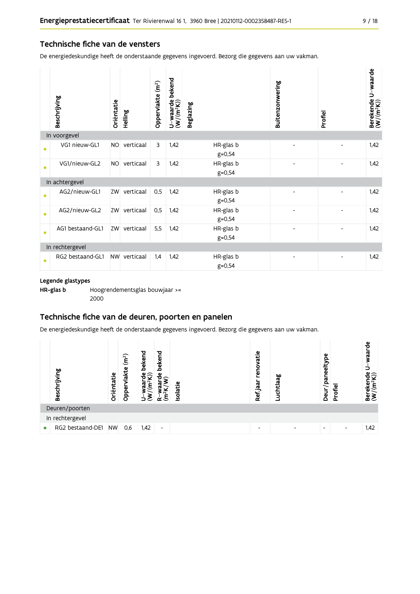#### Technische fiche van de vensters

De energiedeskundige heeft de onderstaande gegevens ingevoerd. Bezorg die gegevens aan uw vakman.

|           | Beschrijving     | Oriëntatie | Helling      | Oppervlakte (m <sup>2</sup> ) | bekend<br>$U$ –waarde l $(W/(m^2K))$ | <b>Beglazing</b>        | Buitenzonwering | Profiel | Berekende U-waarde<br>(W/(m <sup>2</sup> K)) |
|-----------|------------------|------------|--------------|-------------------------------|--------------------------------------|-------------------------|-----------------|---------|----------------------------------------------|
|           | In voorgevel     |            |              |                               |                                      |                         |                 |         |                                              |
| $\bullet$ | VG1 nieuw-GL1    | <b>NO</b>  | verticaal    | 3                             | 1,42                                 | HR-glas b<br>$g = 0,54$ |                 |         | 1,42                                         |
| ٠         | VG1/nieuw-GL2    | <b>NO</b>  | verticaal    | 3                             | 1,42                                 | HR-glas b<br>$g = 0,54$ |                 |         | 1,42                                         |
|           | In achtergevel   |            |              |                               |                                      |                         |                 |         |                                              |
| $\bullet$ | AG2/nieuw-GL1    |            | ZW verticaal | 0,5                           | 1,42                                 | HR-glas b<br>$g = 0,54$ | $\overline{a}$  |         | 1,42                                         |
| ٠         | AG2/nieuw-GL2    |            | ZW verticaal | 0,5                           | 1,42                                 | HR-glas b<br>$g = 0,54$ |                 |         | 1,42                                         |
| $\bullet$ | AG1 bestaand-GL1 | ZW         | verticaal    | 5,5                           | 1,42                                 | HR-glas b<br>$g = 0,54$ |                 |         | 1,42                                         |
|           | In rechtergevel  |            |              |                               |                                      |                         |                 |         |                                              |
| $\bullet$ | RG2 bestaand-GL1 |            | NW verticaal | 1,4                           | 1,42                                 | HR-glas b<br>$g = 0,54$ |                 |         | 1,42                                         |

#### Legende glastypes

HR-glas b Hoogrendementsglas bouwjaar >= 2000

#### Technische fiche van de deuren, poorten en panelen

De energiedeskundige heeft de onderstaande gegevens ingevoerd. Bezorg die gegevens aan uw vakman.

|           | Beschrijving     | Oriëntatie | (m <sup>2</sup> )<br>vlakte<br>Opper | bekend<br>ਚੰ⊊ੇ<br>E,<br>ಗ | bekend<br>$\frac{e}{\sigma}$<br>$\vec{a}$ | solatie | renovatie<br>Ref jaar | Luchtlaag | Φ<br>paneelty<br>Deur <sub>/</sub> | Profiel                  | waarde<br>っ<br>Berekende<br>$(W/(m^2K))$ |
|-----------|------------------|------------|--------------------------------------|---------------------------|-------------------------------------------|---------|-----------------------|-----------|------------------------------------|--------------------------|------------------------------------------|
|           | Deuren/poorten   |            |                                      |                           |                                           |         |                       |           |                                    |                          |                                          |
|           | In rechtergevel  |            |                                      |                           |                                           |         |                       |           |                                    |                          |                                          |
| $\bullet$ | RG2 bestaand-DE1 | <b>NW</b>  | 0,6                                  | 1,42                      | $\overline{\phantom{a}}$                  |         | -                     |           |                                    | $\overline{\phantom{0}}$ | 1,42                                     |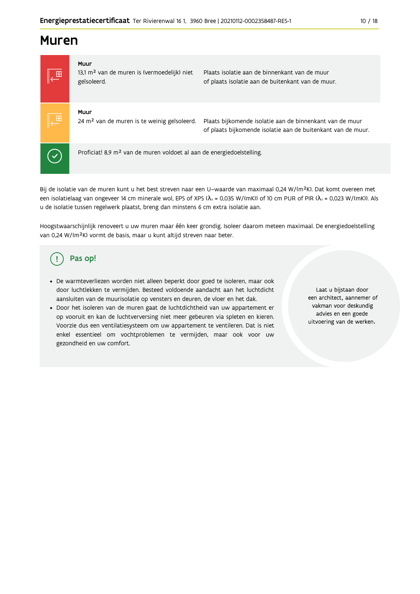### **Muren**



Bij de isolatie van de muren kunt u het best streven naar een U-waarde van maximaal 0,24 W/(m<sup>2</sup>K). Dat komt overeen met een isolatielaag van ongeveer 14 cm minerale wol, EPS of XPS ( $\lambda_a$  = 0,035 W/(mK)) of 10 cm PUR of PIR ( $\lambda_a$  = 0,023 W/(mK)). Als u de isolatie tussen regelwerk plaatst, breng dan minstens 6 cm extra isolatie aan.

Hoogstwaarschijnlijk renoveert u uw muren maar één keer grondig. Isoleer daarom meteen maximaal. De energiedoelstelling van 0,24 W/(m<sup>2</sup>K) vormt de basis, maar u kunt altijd streven naar beter.

#### Pas op! Ţ

- · De warmteverliezen worden niet alleen beperkt door goed te isoleren, maar ook door luchtlekken te vermijden. Besteed voldoende aandacht aan het luchtdicht aansluiten van de muurisolatie op vensters en deuren, de vloer en het dak.
- · Door het isoleren van de muren gaat de luchtdichtheid van uw appartement er op vooruit en kan de luchtverversing niet meer gebeuren via spleten en kieren. Voorzie dus een ventilatiesysteem om uw appartement te ventileren. Dat is niet enkel essentieel om vochtproblemen te vermijden, maar ook voor uw gezondheid en uw comfort.

Laat u bijstaan door een architect, aannemer of vakman voor deskundig advies en een goede uitvoering van de werken.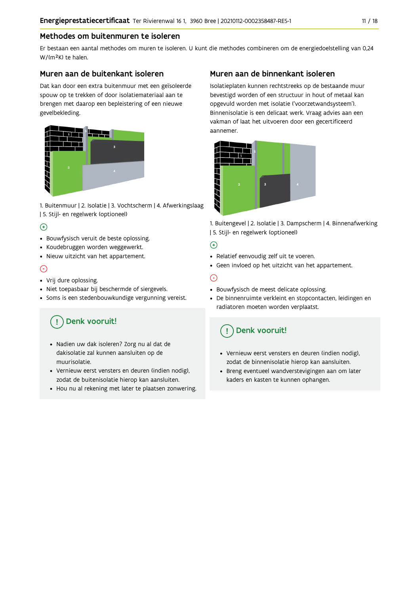#### Methodes om buitenmuren te isoleren

Er bestaan een aantal methodes om muren te isoleren. U kunt die methodes combineren om de energiedoelstelling van 0,24 W/(m<sup>2</sup>K) te halen.

#### Muren aan de buitenkant isoleren

Dat kan door een extra buitenmuur met een geïsoleerde spouw op te trekken of door isolatiemateriaal aan te brengen met daarop een bepleistering of een nieuwe gevelbekleding.



1. Buitenmuur | 2. Isolatie | 3. Vochtscherm | 4. Afwerkingslaag | 5. Stijl- en regelwerk (optioneel)

### $\bigoplus$

- Bouwfysisch veruit de beste oplossing.
- Koudebruggen worden weggewerkt.
- · Nieuw uitzicht van het appartement.

#### $\odot$

- Vrij dure oplossing.
- · Niet toepasbaar bij beschermde of siergevels.
- Soms is een stedenbouwkundige vergunning vereist.

## Denk vooruit!

- · Nadien uw dak isoleren? Zorg nu al dat de dakisolatie zal kunnen aansluiten op de muurisolatie.
- · Vernieuw eerst vensters en deuren (indien nodig), zodat de buitenisolatie hierop kan aansluiten.
- Hou nu al rekening met later te plaatsen zonwering.

### Muren aan de binnenkant isoleren

Isolatieplaten kunnen rechtstreeks op de bestaande muur bevestigd worden of een structuur in hout of metaal kan opgevuld worden met isolatie ('voorzetwandsysteem'). Binnenisolatie is een delicaat werk. Vraag advies aan een vakman of laat het uitvoeren door een gecertificeerd aannemer



1. Buitengevel | 2. Isolatie | 3. Dampscherm | 4. Binnenafwerking | 5. Stijl- en regelwerk (optioneel)

### $\bigoplus$

- Relatief eenvoudig zelf uit te voeren.
- Geen invloed op het uitzicht van het appartement.

### ⊝

- Bouwfysisch de meest delicate oplossing.
- · De binnenruimte verkleint en stopcontacten, leidingen en radiatoren moeten worden verplaatst.

### Denk vooruit!

- Vernieuw eerst vensters en deuren (indien nodig), zodat de binnenisolatie hierop kan aansluiten.
- · Breng eventueel wandverstevigingen aan om later kaders en kasten te kunnen ophangen.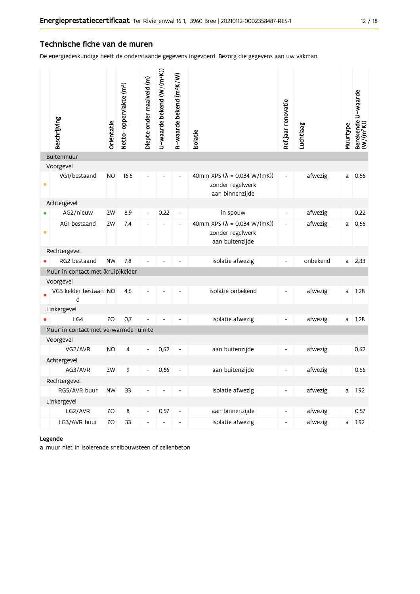#### Technische fiche van de muren

De energiedeskundige heeft de onderstaande gegevens ingevoerd. Bezorg die gegevens aan uw vakman.

|           | Beschrijving                         | Oriëntatie | Netto-oppervlakte (m <sup>2</sup> ) | Diepte onder maaiveld (m) | U-waarde bekend $(W/(m^2K))$ | R-waarde bekend (m <sup>2</sup> K/W) | solatie                                                                | Ref.jaar renovatie           | Luchtlaag | Muurtype | Berekende U-waarde<br>(W/(m <sup>2</sup> K)) |
|-----------|--------------------------------------|------------|-------------------------------------|---------------------------|------------------------------|--------------------------------------|------------------------------------------------------------------------|------------------------------|-----------|----------|----------------------------------------------|
|           | Buitenmuur                           |            |                                     |                           |                              |                                      |                                                                        |                              |           |          |                                              |
|           | Voorgevel                            |            |                                     |                           |                              |                                      |                                                                        |                              |           |          |                                              |
| $\bullet$ | VG1/bestaand                         | <b>NO</b>  | 16,6                                |                           |                              |                                      | 40mm XPS ( $λ = 0.034 W/(mK)$ )<br>zonder regelwerk<br>aan binnenzijde |                              | afwezig   | a        | 0,66                                         |
|           | Achtergevel                          |            |                                     |                           |                              |                                      |                                                                        |                              |           |          |                                              |
|           | AG2/nieuw                            | ZW         | 8,9                                 | $\frac{1}{2}$             | 0,22                         | $\overline{\phantom{a}}$             | in spouw                                                               | $\overline{\phantom{a}}$     | afwezig   |          | 0,22                                         |
| $\bullet$ | AG1 bestaand                         | ZW         | 7.4                                 |                           |                              |                                      | 40mm XPS (λ = 0,034 W/(mK))<br>zonder regelwerk<br>aan buitenzijde     | $\blacksquare$               | afwezig   | a        | 0,66                                         |
|           | Rechtergevel                         |            |                                     |                           |                              |                                      |                                                                        |                              |           |          |                                              |
|           | RG2 bestaand                         | <b>NW</b>  | 7,8                                 |                           |                              |                                      | isolatie afwezig                                                       | $\qquad \qquad \blacksquare$ | onbekend  | a        | 2,33                                         |
|           | Muur in contact met (kruip)kelder    |            |                                     |                           |                              |                                      |                                                                        |                              |           |          |                                              |
|           | Voorgevel                            |            |                                     |                           |                              |                                      |                                                                        |                              |           |          |                                              |
|           | VG3 kelder bestaan NO<br>d           |            | 4,6                                 |                           |                              |                                      | isolatie onbekend                                                      | $\overline{\phantom{a}}$     | afwezig   | a        | 1,28                                         |
|           | Linkergevel                          |            |                                     |                           |                              |                                      |                                                                        |                              |           |          |                                              |
|           | LG4                                  | ZO         | 0,7                                 |                           |                              |                                      | isolatie afwezig                                                       | $\overline{\phantom{0}}$     | afwezig   | a        | 1,28                                         |
|           | Muur in contact met verwarmde ruimte |            |                                     |                           |                              |                                      |                                                                        |                              |           |          |                                              |
|           | Voorgevel                            |            |                                     |                           |                              |                                      |                                                                        |                              |           |          |                                              |
|           | VG2/AVR                              | <b>NO</b>  | 4                                   |                           | 0,62                         |                                      | aan buitenzijde                                                        |                              | afwezig   |          | 0,62                                         |
|           | Achtergevel                          |            |                                     |                           |                              |                                      |                                                                        |                              |           |          |                                              |
|           | AG3/AVR                              | ZW         | 9                                   |                           | 0,66                         |                                      | aan buitenzijde                                                        |                              | afwezig   |          | 0,66                                         |
|           | Rechtergevel                         |            |                                     |                           |                              |                                      |                                                                        |                              |           |          |                                              |
|           | RG5/AVR buur                         | <b>NW</b>  | 33                                  |                           |                              |                                      | isolatie afwezig                                                       | $\blacksquare$               | afwezig   | a        | 1,92                                         |
|           | Linkergevel                          |            |                                     |                           |                              |                                      |                                                                        |                              |           |          |                                              |
|           | LG2/AVR                              | ZO         | 8                                   | Ĭ.                        | 0,57                         | ä,                                   | aan binnenzijde                                                        | $\overline{\phantom{a}}$     | afwezig   |          | 0,57                                         |
|           | LG3/AVR buur                         | ZO         | 33                                  | L,                        | L                            |                                      | isolatie afwezig                                                       | $\overline{a}$               | afwezig   | a        | 1,92                                         |

#### Legende

a muur niet in isolerende snelbouwsteen of cellenbeton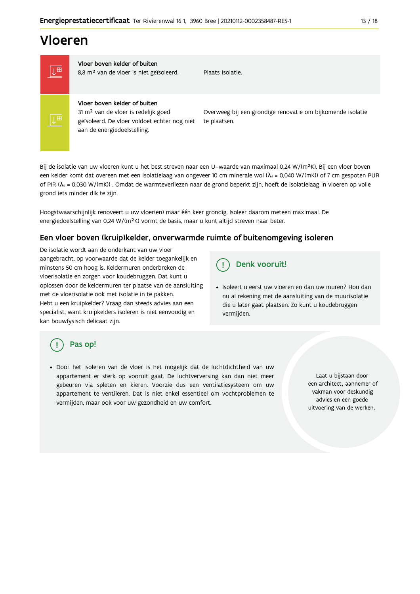## Vloeren

 $\overline{\mathbb{R}^+}$ 

Vloer boven kelder of buiten 8,8 m<sup>2</sup> van de vloer is niet geïsoleerd.

Plaats isolatie

Vloer boven kelder of buiten 31 m<sup>2</sup> van de vloer is redelijk goed

geïsoleerd. De vloer voldoet echter nog niet aan de energiedoelstelling.

Overweeg bij een grondige renovatie om bijkomende isolatie te plaatsen.

Bij de isolatie van uw vloeren kunt u het best streven naar een U-waarde van maximaal 0,24 W/(m<sup>2</sup>K). Bij een vloer boven een kelder komt dat overeen met een isolatielaag van ongeveer 10 cm minerale wol ( $\lambda_d$  = 0,040 W/(mK)) of 7 cm gespoten PUR of PIR ( $\lambda_4$  = 0,030 W/(mK)). Omdat de warmteverliezen naar de grond beperkt zijn, hoeft de isolatielaag in vloeren op volle grond iets minder dik te zijn.

Hoogstwaarschijnlijk renoveert u uw vloer(en) maar één keer grondig. Isoleer daarom meteen maximaal. De energiedoelstelling van 0,24 W/(m<sup>2</sup>K) vormt de basis, maar u kunt altijd streven naar beter.

#### Een vloer boven (kruip) kelder, onverwarmde ruimte of buitenomgeving isoleren

De isolatie wordt aan de onderkant van uw vloer aangebracht, op voorwaarde dat de kelder toegankelijk en minstens 50 cm hoog is. Keldermuren onderbreken de vloerisolatie en zorgen voor koudebruggen. Dat kunt u oplossen door de keldermuren ter plaatse van de aansluiting met de vloerisolatie ook met isolatie in te pakken. Hebt u een kruipkelder? Vraag dan steeds advies aan een specialist, want kruipkelders isoleren is niet eenvoudig en kan bouwfysisch delicaat zijn.

#### Denk vooruit! Ţ

· Isoleert u eerst uw vloeren en dan uw muren? Hou dan nu al rekening met de aansluiting van de muurisolatie die u later gaat plaatsen. Zo kunt u koudebruggen vermijden.

### Pas op!

· Door het isoleren van de vloer is het mogelijk dat de luchtdichtheid van uw appartement er sterk op vooruit gaat. De luchtverversing kan dan niet meer gebeuren via spleten en kieren. Voorzie dus een ventilatiesysteem om uw appartement te ventileren. Dat is niet enkel essentieel om vochtproblemen te vermijden, maar ook voor uw gezondheid en uw comfort.

Laat u bijstaan door een architect, aannemer of vakman voor deskundig advies en een goede uitvoering van de werken.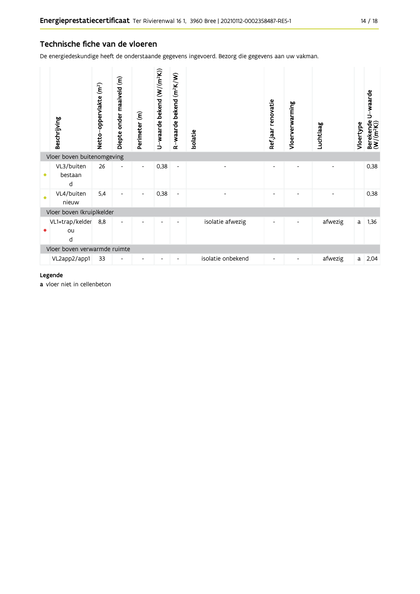#### Technische fiche van de vloeren

De energiedeskundige heeft de onderstaande gegevens ingevoerd. Bezorg die gegevens aan uw vakman.

|                              | Beschrijving               | Netto-oppervlakte (m <sup>2</sup> ) | Diepte onder maaiveld (m) | Perimeter (m)            | U-waarde bekend (W/(m <sup>2</sup> K)) | R-waarde bekend (m <sup>2</sup> K/W) | Isolatie          | Refjaar renovatie            | Vloerverwarming | Luchtlaag | Vloertype | U-waarde<br>Berekende l<br>(W/(m <sup>2</sup> K)) |
|------------------------------|----------------------------|-------------------------------------|---------------------------|--------------------------|----------------------------------------|--------------------------------------|-------------------|------------------------------|-----------------|-----------|-----------|---------------------------------------------------|
|                              | Vloer boven buitenomgeving |                                     |                           |                          |                                        |                                      |                   |                              |                 |           |           |                                                   |
| $\bullet$                    | VL3/buiten<br>bestaan<br>d | 26                                  |                           | $\overline{\phantom{a}}$ | 0,38                                   | $\qquad \qquad \blacksquare$         |                   |                              |                 |           |           | 0,38                                              |
| $\bullet$                    | VL4/buiten<br>nieuw        | 5,4                                 |                           | $\overline{\phantom{a}}$ | 0,38                                   | $\qquad \qquad \blacksquare$         |                   | ٠                            |                 |           |           | 0,38                                              |
|                              | Vloer boven (kruip)kelder  |                                     |                           |                          |                                        |                                      |                   |                              |                 |           |           |                                                   |
|                              | VL1+trap/kelder<br>ou<br>d | 8,8                                 |                           |                          |                                        | ٠                                    | isolatie afwezig  | $\qquad \qquad \blacksquare$ |                 | afwezig   | a         | 1,36                                              |
| Vloer boven verwarmde ruimte |                            |                                     |                           |                          |                                        |                                      |                   |                              |                 |           |           |                                                   |
|                              | VL2app2/app1               | 33                                  |                           |                          |                                        |                                      | isolatie onbekend |                              |                 | afwezig   | a         | 2,04                                              |

#### Legende

a vloer niet in cellenbeton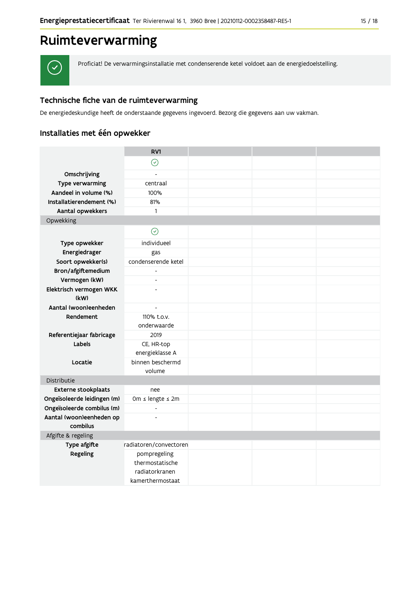## Ruimteverwarming

 $\checkmark$ 

Proficiat! De verwarmingsinstallatie met condenserende ketel voldoet aan de energiedoelstelling.

### Technische fiche van de ruimteverwarming

De energiedeskundige heeft de onderstaande gegevens ingevoerd. Bezorg die gegevens aan uw vakman.

### Installaties met één opwekker

|                                                           | RV1                      |  |  |
|-----------------------------------------------------------|--------------------------|--|--|
|                                                           | $\odot$                  |  |  |
| Omschrijving                                              | $\overline{a}$           |  |  |
| Type verwarming                                           | centraal                 |  |  |
| Aandeel in volume (%)                                     | 100%                     |  |  |
| Installatierendement (%)                                  | 81%                      |  |  |
| Aantal opwekkers                                          | 1                        |  |  |
| Opwekking                                                 |                          |  |  |
|                                                           | $\odot$                  |  |  |
| Type opwekker                                             | individueel              |  |  |
| Energiedrager                                             | gas                      |  |  |
| Soort opwekker(s)                                         | condenserende ketel      |  |  |
| Bron/afgiftemedium                                        |                          |  |  |
| Vermogen (kW)                                             | $\overline{\phantom{a}}$ |  |  |
| Elektrisch vermogen WKK                                   | $\overline{a}$           |  |  |
| (kW)                                                      |                          |  |  |
| Aantal (woon)eenheden                                     | $\overline{\phantom{a}}$ |  |  |
| Rendement                                                 | 110% t.o.v.              |  |  |
|                                                           | onderwaarde              |  |  |
| Referentiejaar fabricage                                  | 2019                     |  |  |
| Labels                                                    | CE, HR-top               |  |  |
|                                                           | energieklasse A          |  |  |
| Locatie                                                   | binnen beschermd         |  |  |
|                                                           | volume                   |  |  |
| Distributie                                               |                          |  |  |
| <b>Externe stookplaats</b><br>Ongeïsoleerde leidingen (m) | nee<br>0m ≤ lengte ≤ 2m  |  |  |
| Ongeïsoleerde combilus (m)                                | $\overline{a}$           |  |  |
| Aantal (woon)eenheden op                                  | $\overline{a}$           |  |  |
| combilus                                                  |                          |  |  |
| Afgifte & regeling                                        |                          |  |  |
| Type afgifte                                              | radiatoren/convectoren   |  |  |
| Regeling                                                  | pompregeling             |  |  |
|                                                           | thermostatische          |  |  |
|                                                           | radiatorkranen           |  |  |
|                                                           | kamerthermostaat         |  |  |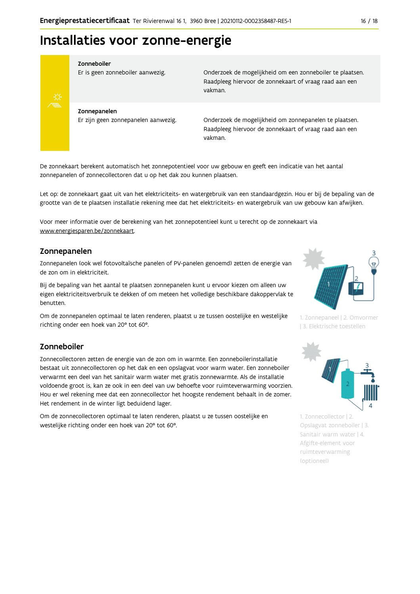## Installaties voor zonne-energie



#### Zonneboiler

Er is geen zonneboiler aanwezig.

Onderzoek de mogelijkheid om een zonneboiler te plaatsen. Raadpleeg hiervoor de zonnekaart of vraag raad aan een vakman.

Zonnepanelen Er zijn geen zonnepanelen aanwezig.

Onderzoek de mogelijkheid om zonnepanelen te plaatsen. Raadpleeg hiervoor de zonnekaart of vraag raad aan een vakman.

De zonnekaart berekent automatisch het zonnepotentieel voor uw gebouw en geeft een indicatie van het aantal zonnepanelen of zonnecollectoren dat u op het dak zou kunnen plaatsen.

Let op: de zonnekaart gaat uit van het elektriciteits- en watergebruik van een standaardgezin. Hou er bij de bepaling van de grootte van de te plaatsen installatie rekening mee dat het elektriciteits- en watergebruik van uw gebouw kan afwijken.

Voor meer informatie over de berekening van het zonnepotentieel kunt u terecht op de zonnekaart via www.energiesparen.be/zonnekaart.

#### Zonnepanelen

Zonnepanelen (ook wel fotovoltaïsche panelen of PV-panelen genoemd) zetten de energie van de zon om in elektriciteit.

Bij de bepaling van het aantal te plaatsen zonnepanelen kunt u ervoor kiezen om alleen uw eigen elektriciteitsverbruik te dekken of om meteen het volledige beschikbare dakoppervlak te benutten.

Om de zonnepanelen optimaal te laten renderen, plaatst u ze tussen oostelijke en westelijke richting onder een hoek van 20° tot 60°.

#### Zonneboiler

Zonnecollectoren zetten de energie van de zon om in warmte. Een zonneboilerinstallatie bestaat uit zonnecollectoren op het dak en een opslagvat voor warm water. Een zonneboiler verwarmt een deel van het sanitair warm water met gratis zonnewarmte. Als de installatie voldoende groot is, kan ze ook in een deel van uw behoefte voor ruimteverwarming voorzien. Hou er wel rekening mee dat een zonnecollector het hoogste rendement behaalt in de zomer. Het rendement in de winter ligt beduidend lager.

Om de zonnecollectoren optimaal te laten renderen, plaatst u ze tussen oostelijke en westelijke richting onder een hoek van 20° tot 60°.



1. Zonnepaneel | 2. Omvormer | 3. Elektrische toestellen



1. Zonnecollector | 2. Opslagvat zonneboiler | 3. Sanitair warm water | 4. Afgifte-element voor ruimteverwarming (optioneel)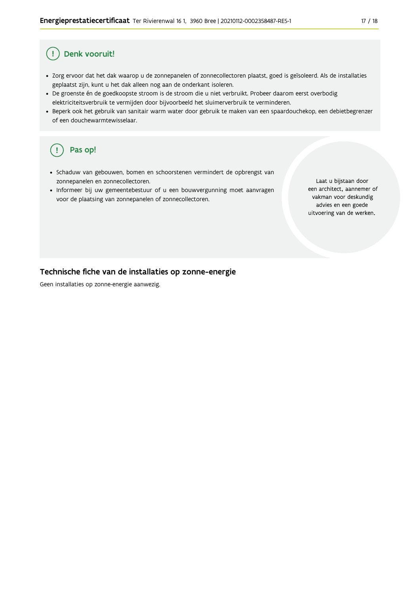#### Denk vooruit! Ţ

- · Zorg ervoor dat het dak waarop u de zonnepanelen of zonnecollectoren plaatst, goed is geïsoleerd. Als de installaties geplaatst zijn, kunt u het dak alleen nog aan de onderkant isoleren.
- · De groenste én de goedkoopste stroom is de stroom die u niet verbruikt. Probeer daarom eerst overbodig elektriciteitsverbruik te vermijden door bijvoorbeeld het sluimerverbruik te verminderen.
- · Beperk ook het gebruik van sanitair warm water door gebruik te maken van een spaardouchekop, een debietbegrenzer of een douchewarmtewisselaar.

#### Pas op! ( !

- · Schaduw van gebouwen, bomen en schoorstenen vermindert de opbrengst van zonnepanelen en zonnecollectoren.
- Informeer bij uw gemeentebestuur of u een bouwvergunning moet aanvragen voor de plaatsing van zonnepanelen of zonnecollectoren.

Laat u bijstaan door een architect, aannemer of vakman voor deskundig advies en een goede uitvoering van de werken.

#### Technische fiche van de installaties op zonne-energie

Geen installaties op zonne-energie aanwezig.